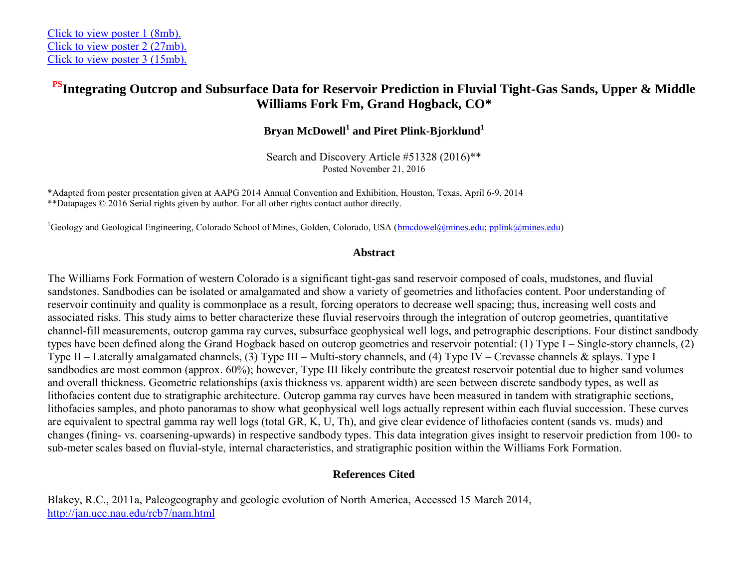## **PSIntegrating Outcrop and Subsurface Data for Reservoir Prediction in Fluvial Tight-Gas Sands, Upper & Middle Williams Fork Fm, Grand Hogback, CO\***

**Bryan McDowell<sup>1</sup> and Piret Plink-Bjorklund<sup>1</sup>**

Search and Discovery Article #51328 (2016)\*\* Posted November 21, 2016

\*Adapted from poster presentation given at AAPG 2014 Annual Convention and Exhibition, Houston, Texas, April 6-9, 2014 \*\*Datapages © 2016 Serial rights given by author. For all other rights contact author directly.

<sup>1</sup>Geology and Geological Engineering, Colorado School of Mines, Golden, Colorado, USA [\(bmcdowel@mines.edu;](mailto:bmcdowel@mines.edu) [pplink@mines.edu\)](mailto:pplink@mines.edu)

## **Abstract**

The Williams Fork Formation of western Colorado is a significant tight-gas sand reservoir composed of coals, mudstones, and fluvial sandstones. Sandbodies can be isolated or amalgamated and show a variety of geometries and lithofacies content. Poor understanding of reservoir continuity and quality is commonplace as a result, forcing operators to decrease well spacing; thus, increasing well costs and associated risks. This study aims to better characterize these fluvial reservoirs through the integration of outcrop geometries, quantitative channel-fill measurements, outcrop gamma ray curves, subsurface geophysical well logs, and petrographic descriptions. Four distinct sandbody types have been defined along the Grand Hogback based on outcrop geometries and reservoir potential: (1) Type I – Single-story channels, (2) Type II – Laterally amalgamated channels, (3) Type III – Multi-story channels, and (4) Type IV – Crevasse channels & splays. Type I sandbodies are most common (approx. 60%); however, Type III likely contribute the greatest reservoir potential due to higher sand volumes and overall thickness. Geometric relationships (axis thickness vs. apparent width) are seen between discrete sandbody types, as well as lithofacies content due to stratigraphic architecture. Outcrop gamma ray curves have been measured in tandem with stratigraphic sections, lithofacies samples, and photo panoramas to show what geophysical well logs actually represent within each fluvial succession. These curves are equivalent to spectral gamma ray well logs (total GR, K, U, Th), and give clear evidence of lithofacies content (sands vs. muds) and changes (fining- vs. coarsening-upwards) in respective sandbody types. This data integration gives insight to reservoir prediction from 100- to sub-meter scales based on fluvial-style, internal characteristics, and stratigraphic position within the Williams Fork Formation.

## **References Cited**

Blakey, R.C., 2011a, Paleogeography and geologic evolution of North America, Accessed 15 March 2014, <http://jan.ucc.nau.edu/rcb7/nam.html>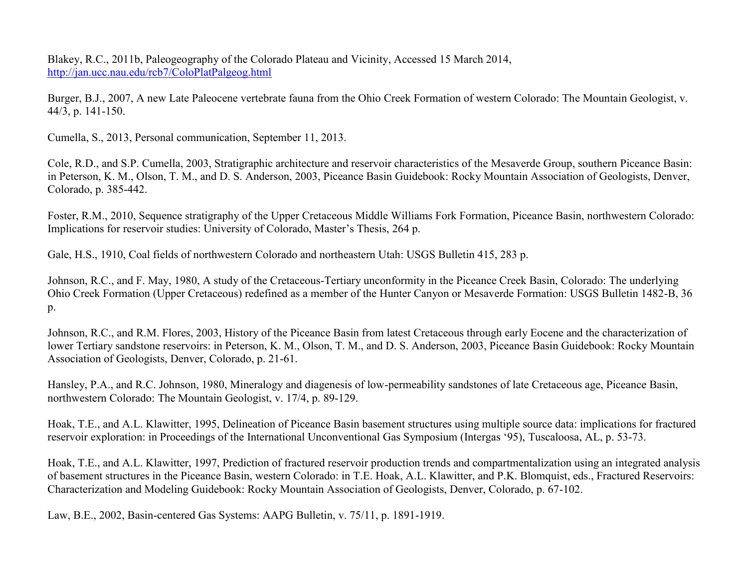Blakey, R.C., 2011b, Paleogeography of the Colorado Plateau and Vicinity, Accessed 15 March 2014, <http://jan.ucc.nau.edu/rcb7/ColoPlatPalgeog.html>

Burger, B.J., 2007, A new Late Paleocene vertebrate fauna from the Ohio Creek Formation of western Colorado: The Mountain Geologist, v. 44/3, p. 141-150.

Cumella, S., 2013, Personal communication, September 11, 2013.

Cole, R.D., and S.P. Cumella, 2003, Stratigraphic architecture and reservoir characteristics of the Mesaverde Group, southern Piceance Basin: in Peterson, K. M., Olson, T. M., and D. S. Anderson, 2003, Piceance Basin Guidebook: Rocky Mountain Association of Geologists, Denver, Colorado, p. 385-442.

Foster, R.M., 2010, Sequence stratigraphy of the Upper Cretaceous Middle Williams Fork Formation, Piceance Basin, northwestern Colorado: Implications for reservoir studies: University of Colorado, Master's Thesis, 264 p.

Gale, H.S., 1910, Coal fields of northwestern Colorado and northeastern Utah: USGS Bulletin 415, 283 p.

Johnson, R.C., and F. May, 1980, A study of the Cretaceous-Tertiary unconformity in the Piceance Creek Basin, Colorado: The underlying Ohio Creek Formation (Upper Cretaceous) redefined as a member of the Hunter Canyon or Mesaverde Formation: USGS Bulletin 1482-B, 36 p.

Johnson, R.C., and R.M. Flores, 2003, History of the Piceance Basin from latest Cretaceous through early Eocene and the characterization of lower Tertiary sandstone reservoirs: in Peterson, K. M., Olson, T. M., and D. S. Anderson, 2003, Piceance Basin Guidebook: Rocky Mountain Association of Geologists, Denver, Colorado, p. 21-61.

Hansley, P.A., and R.C. Johnson, 1980, Mineralogy and diagenesis of low-permeability sandstones of late Cretaceous age, Piceance Basin, northwestern Colorado: The Mountain Geologist, v. 17/4, p. 89-129.

Hoak, T.E., and A.L. Klawitter, 1995, Delineation of Piceance Basin basement structures using multiple source data: implications for fractured reservoir exploration: in Proceedings of the International Unconventional Gas Symposium (Intergas '95), Tuscaloosa, AL, p. 53-73.

Hoak, T.E., and A.L. Klawitter, 1997, Prediction of fractured reservoir production trends and compartmentalization using an integrated analysis of basement structures in the Piceance Basin, western Colorado: in T.E. Hoak, A.L. Klawitter, and P.K. Blomquist, eds., Fractured Reservoirs: Characterization and Modeling Guidebook: Rocky Mountain Association of Geologists, Denver, Colorado, p. 67-102.

Law, B.E., 2002, Basin-centered Gas Systems: AAPG Bulletin, v. 75/11, p. 1891-1919.